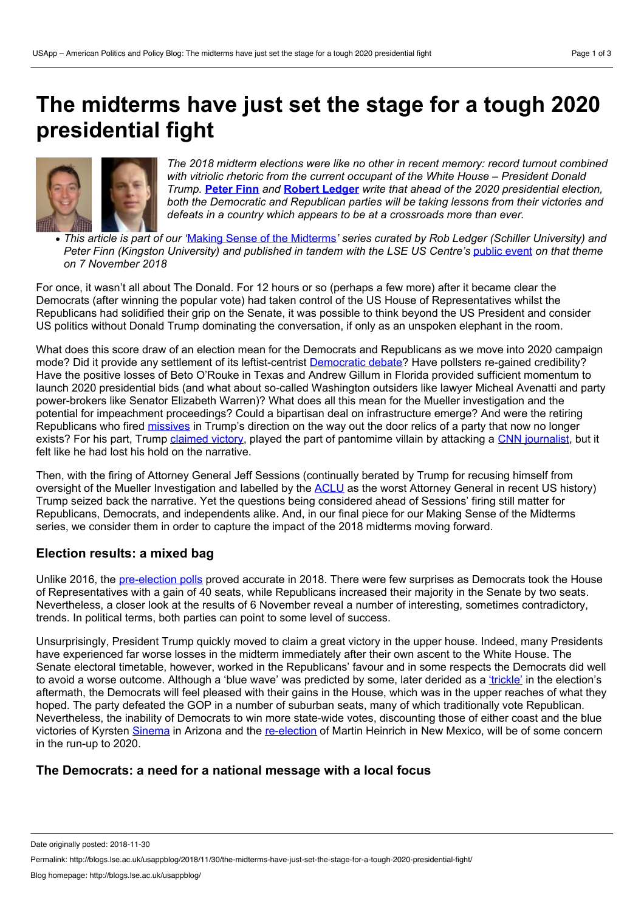# **The midterms have just set the stage for a tough 2020 presidential fight**



*The 2018 midterm elections were like no other in recent memory: record turnout combined with vitriolic rhetoric from the current occupant of the White House – President Donald Trump.* **[Peter](https://wp.me/p3I2YF-8mC#Author) Finn** *and* **Robert [Ledger](https://wp.me/p3I2YF-8mC#Author)** *write that ahead of the 2020 presidential election, both the Democratic and Republican parties will be taking lessons from their victories and defeats in a country which appears to be at a crossroads more than ever.*

• This article is part of our 'Making Sense of the [Midterms](http://blogs.lse.ac.uk/usappblog/making-sense-of-the-2018-midterm-elections/)' series curated by Rob Ledger (Schiller University) and *Peter Finn (Kingston University) and published in tandem with the LSE US Centre's* [public](http://www.lse.ac.uk/united-states/events/2018-events/us-midterms/making-sense-of-the-midterms) event *on thattheme on 7 November 2018*

For once, it wasn't all about The Donald. For 12 hours or so (perhaps a few more) after it became clear the Democrats (after winning the popular vote) had taken control of the US House of Representatives whilst the Republicans had solidified their grip on the Senate, it was possible to think beyond the US President and consider US politics without Donald Trump dominating the conversation, if only as an unspoken elephant in the room.

What does this score draw of an election mean for the Democrats and Republicans as we move into 2020 campaign mode? Did it provide any settlement of its leftist-centrist [Democratic](https://www.washingtonpost.com/opinions/the-midterms-gave-democrats-clear-marching-orders-for-2020/2018/11/13/15e9843c-e6c4-11e8-bbdb-72fdbf9d4fed_story.html?utm_term=.eaa1bc7f8c14) debate? Have pollsters re-gained credibility? Have the positive losses of Beto O'Rouke in Texas and Andrew Gillum in Florida provided sufficient momentum to launch 2020 presidential bids (and what about so-called Washington outsiders like lawyer Micheal Avenatti and party power-brokers like Senator Elizabeth Warren)? What does all this mean for the Mueller investigation and the potential for impeachment proceedings? Could a bipartisan deal on infrastructure emerge? And were the retiring Republicans who fired [missives](https://www.nbcnews.com/politics/politics-news/trump-rips-republican-candidates-who-lost-after-distancing-him-n933556) in Trump's direction on the way out the door relics of a party that now no longer exists? For his part, Trump [claimed](https://www.bbc.com/news/world-us-canada-46125121) victory, played the part of pantomime villain by attacking a CNN [journalist,](https://edition.cnn.com/2018/11/07/media/trump-cnn-press-conference/index.html) but it felt like he had lost his hold on the narrative.

Then, with the firing of Attorney General Jeff Sessions (continually berated by Trump for recusing himself from oversight of the Mueller Investigation and labelled by the [ACLU](https://www.aclu.org/blog/criminal-law-reform/jeff-sessions-was-worst-attorney-general-modern-american-history) as the worst Attorney General in recent US history) Trump seized back the narrative. Yet the questions being considered ahead of Sessions' firing still matter for Republicans, Democrats, and independents alike. And, in our final piece for our Making Sense of the Midterms series, we consider them in order to capture the impact of the 2018 midterms moving forward.

## **Election results: a mixed bag**

Unlike 2016, the [pre-election](http://blogs.lse.ac.uk/usappblog/2018/10/17/why-its-all-to-play-for-in-the-2018-midterm-elections/) polls proved accurate in 2018. There were few surprises as Democrats took the House of Representatives with a gain of 40 seats, while Republicans increased their majority in the Senate by two seats. Nevertheless, a closer look at the results of 6 November reveal a number of interesting, sometimes contradictory, trends. In political terms, both parties can point to some level of success.

Unsurprisingly, President Trump quickly moved to claim a great victory in the upper house. Indeed, many Presidents have experienced far worse losses in the midterm immediately after their own ascent to the White House. The Senate electoral timetable, however, worked in the Republicans' favour and in some respects the Democrats did well to avoid a worse outcome. Although a 'blue wave' was predicted by some, later derided as a ['trickle'](https://www.vox.com/policy-and-politics/2018/11/13/18082490/blue-wave) in the election's aftermath, the Democrats will feel pleased with their gains in the House, which was in the upper reaches of what they hoped. The party defeated the GOP in a number of suburban seats, many of which traditionally vote Republican. Nevertheless, the inability of Democrats to win more state-wide votes, discounting those of either coast and the blue victories of Kyrsten [Sinema](https://www.theguardian.com/us-news/2018/nov/12/kyrsten-sinema-beats-martha-mcsally-arizona-senator) in Arizona and the [re-election](https://www.270towin.com/2018-senate-election/) of Martin Heinrich in New Mexico, will be of some concern in the run-up to 2020.

## **The Democrats: a need fora national message with a local focus**

Date originally posted: 2018-11-30

Permalink: http://blogs.lse.ac.uk/usappblog/2018/11/30/the-midterms-have-just-set-the-stage-for-a-tough-2020-presidential-fight/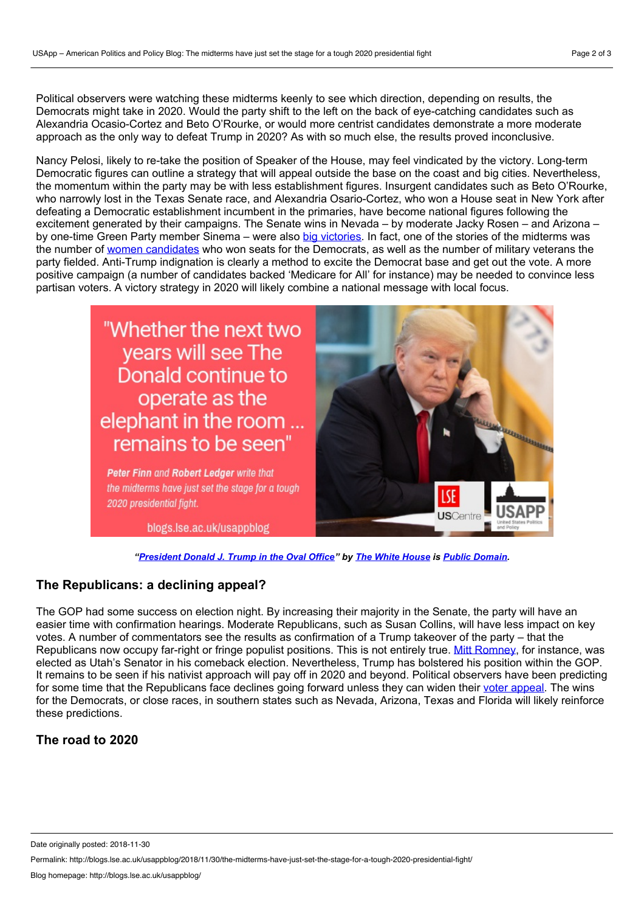Political observers were watching these midterms keenly to see which direction, depending on results, the Democrats might take in 2020. Would the party shift to the left on the back of eye-catching candidates such as Alexandria Ocasio-Cortez and Beto O'Rourke, or would more centrist candidates demonstrate a more moderate approach as the only way to defeat Trump in 2020? As with so much else, the results proved inconclusive.

Nancy Pelosi, likely to re-take the position of Speaker of the House, may feel vindicated by the victory. Long-term Democratic figures can outline a strategy that will appeal outside the base on the coast and big cities. Nevertheless, the momentum within the party may be with less establishment figures. Insurgent candidates such as Beto O'Rourke, who narrowly lost in the Texas Senate race, and Alexandria Osario-Cortez, who won a House seat in New York after defeating a Democratic establishment incumbent in the primaries, have become national figures following the excitement generated by their campaigns. The Senate wins in Nevada – by moderate Jacky Rosen – and Arizona – by one-time Green Party member Sinema – were also big [victories.](https://www.washingtontimes.com/news/2018/nov/13/kyrsten-sinema-jacky-rosen-senate-wins-reduce-trum/) In fact, one of the stories of the midterms was the number of women [candidates](http://blogs.lse.ac.uk/usappblog/2018/10/25/why-we-should-expect-gains-for-democratic-women-in-the-house-on-november-6th/) who won seats for the Democrats, as well as the number of military veterans the party fielded. Anti-Trump indignation is clearly a method to excite the Democrat base and get out the vote. A more positive campaign (a number of candidates backed 'Medicare for All' for instance) may be needed to convince less partisan voters. A victory strategy in 2020 will likely combine a national message with local focus.

# "Whether the next two years will see The Donald continue to operate as the elephant in the room remains to be seen'

Peter Finn and Robert Ledaer write that the midterms have just set the stage for a tough 2020 presidential fight.

blogs.lse.ac.uk/usappblog



*["President](https://www.flickr.com/photos/whitehouse/44968628495/) Donald J. Trump in the Oval Office" by The White [House](https://www.flickr.com/photos/whitehouse/) is Public [Domain.](https://creativecommons.org/publicdomain/mark/1.0/)*

## **The Republicans: a declining appeal?**

The GOP had some success on election night. By increasing their majority in the Senate, the party will have an easier time with confirmation hearings. Moderate Republicans, such as Susan Collins, will have less impact on key votes. A number of commentators see the results as confirmation of a Trump takeover of the party – that the Republicans now occupy far-right or fringe populist positions. This is not entirely true. Mitt [Romney,](https://www.washingtonpost.com/blogs/post-partisan/wp/2018/11/13/mitt-romney-could-bring-something-important-to-washington-and-to-the-gop/?utm_term=.2bd18a2d98aa) for instance, was elected as Utah's Senator in his comeback election. Nevertheless, Trump has bolstered his position within the GOP. It remains to be seen if his nativist approach will pay off in 2020 and beyond. Political observers have been predicting for some time that the Republicans face declines going forward unless they can widen their voter [appeal.](https://www.brookings.edu/blog/fixgov/2018/06/14/trump-owns-a-shrinking-republican-party/) The wins for the Democrats, or close races, in southern states such as Nevada, Arizona, Texas and Florida will likely reinforce these predictions.

# **The road to 2020**

Date originally posted: 2018-11-30

Permalink: http://blogs.lse.ac.uk/usappblog/2018/11/30/the-midterms-have-just-set-the-stage-for-a-tough-2020-presidential-fight/